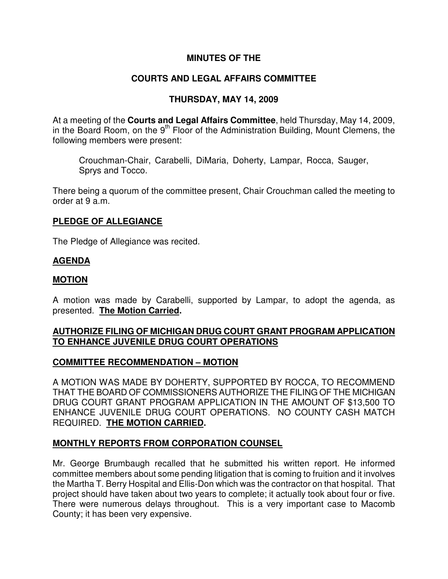## **MINUTES OF THE**

# **COURTS AND LEGAL AFFAIRS COMMITTEE**

## **THURSDAY, MAY 14, 2009**

At a meeting of the **Courts and Legal Affairs Committee**, held Thursday, May 14, 2009, in the Board Room, on the  $9<sup>th</sup>$  Floor of the Administration Building, Mount Clemens, the following members were present:

Crouchman-Chair, Carabelli, DiMaria, Doherty, Lampar, Rocca, Sauger, Sprys and Tocco.

There being a quorum of the committee present, Chair Crouchman called the meeting to order at 9 a.m.

## **PLEDGE OF ALLEGIANCE**

The Pledge of Allegiance was recited.

## **AGENDA**

## **MOTION**

A motion was made by Carabelli, supported by Lampar, to adopt the agenda, as presented. **The Motion Carried.** 

## **AUTHORIZE FILING OF MICHIGAN DRUG COURT GRANT PROGRAM APPLICATION TO ENHANCE JUVENILE DRUG COURT OPERATIONS**

## **COMMITTEE RECOMMENDATION – MOTION**

A MOTION WAS MADE BY DOHERTY, SUPPORTED BY ROCCA, TO RECOMMEND THAT THE BOARD OF COMMISSIONERS AUTHORIZE THE FILING OF THE MICHIGAN DRUG COURT GRANT PROGRAM APPLICATION IN THE AMOUNT OF \$13,500 TO ENHANCE JUVENILE DRUG COURT OPERATIONS. NO COUNTY CASH MATCH REQUIRED. **THE MOTION CARRIED.** 

## **MONTHLY REPORTS FROM CORPORATION COUNSEL**

Mr. George Brumbaugh recalled that he submitted his written report. He informed committee members about some pending litigation that is coming to fruition and it involves the Martha T. Berry Hospital and Ellis-Don which was the contractor on that hospital. That project should have taken about two years to complete; it actually took about four or five. There were numerous delays throughout. This is a very important case to Macomb County; it has been very expensive.